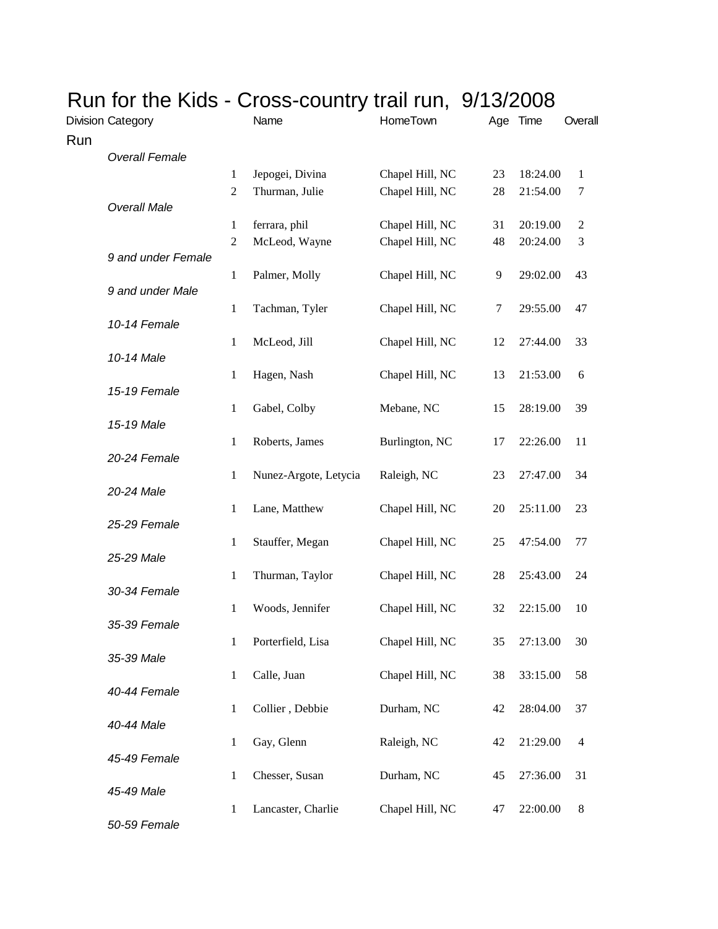| Run for the Kids - Cross-country trail run, 9/13/2008 |                |                       |                 |    |          |                |
|-------------------------------------------------------|----------------|-----------------------|-----------------|----|----------|----------------|
| <b>Division Category</b>                              |                | Name                  | HomeTown        |    | Age Time | Overall        |
| Run                                                   |                |                       |                 |    |          |                |
| <b>Overall Female</b>                                 |                |                       |                 |    |          |                |
|                                                       | $\mathbf{1}$   | Jepogei, Divina       | Chapel Hill, NC | 23 | 18:24.00 | 1              |
|                                                       | $\mathfrak{2}$ | Thurman, Julie        | Chapel Hill, NC | 28 | 21:54.00 | 7              |
| <b>Overall Male</b>                                   |                |                       |                 |    |          |                |
|                                                       | $\mathbf{1}$   | ferrara, phil         | Chapel Hill, NC | 31 | 20:19.00 | $\overline{c}$ |
|                                                       | $\mathfrak{2}$ | McLeod, Wayne         | Chapel Hill, NC | 48 | 20:24.00 | $\mathfrak{Z}$ |
| 9 and under Female                                    | 1              | Palmer, Molly         | Chapel Hill, NC | 9  | 29:02.00 | 43             |
| 9 and under Male                                      |                |                       |                 |    |          |                |
|                                                       | 1              | Tachman, Tyler        | Chapel Hill, NC | 7  | 29:55.00 | 47             |
| 10-14 Female                                          |                |                       |                 |    |          |                |
|                                                       | 1              | McLeod, Jill          | Chapel Hill, NC | 12 | 27:44.00 | 33             |
| 10-14 Male                                            |                |                       |                 |    |          |                |
|                                                       | 1              | Hagen, Nash           | Chapel Hill, NC | 13 | 21:53.00 | 6              |
| 15-19 Female                                          |                |                       |                 |    |          |                |
|                                                       | 1              | Gabel, Colby          | Mebane, NC      | 15 | 28:19.00 | 39             |
| 15-19 Male                                            | $\mathbf{1}$   | Roberts, James        | Burlington, NC  | 17 | 22:26.00 | 11             |
| 20-24 Female                                          |                |                       |                 |    |          |                |
|                                                       | 1              | Nunez-Argote, Letycia | Raleigh, NC     | 23 | 27:47.00 | 34             |
| 20-24 Male                                            |                |                       |                 |    |          |                |
|                                                       | $\mathbf{1}$   | Lane, Matthew         | Chapel Hill, NC | 20 | 25:11.00 | 23             |
| 25-29 Female                                          |                |                       |                 |    |          |                |
|                                                       | $\mathbf{1}$   | Stauffer, Megan       | Chapel Hill, NC | 25 | 47:54.00 | 77             |
| 25-29 Male                                            |                |                       |                 |    |          |                |
| 30-34 Female                                          | 1              | Thurman, Taylor       | Chapel Hill, NC | 28 | 25:43.00 | 24             |
|                                                       | 1              | Woods, Jennifer       | Chapel Hill, NC | 32 | 22:15.00 | 10             |
| 35-39 Female                                          |                |                       |                 |    |          |                |
|                                                       | $\mathbf{1}$   | Porterfield, Lisa     | Chapel Hill, NC | 35 | 27:13.00 | 30             |
| 35-39 Male                                            |                |                       |                 |    |          |                |
|                                                       | $\mathbf{1}$   | Calle, Juan           | Chapel Hill, NC | 38 | 33:15.00 | 58             |
| 40-44 Female                                          |                |                       |                 |    |          |                |
|                                                       | $\mathbf{1}$   | Collier, Debbie       | Durham, NC      | 42 | 28:04.00 | 37             |
| 40-44 Male                                            |                |                       |                 |    |          |                |
| 45-49 Female                                          | $\mathbf{1}$   | Gay, Glenn            | Raleigh, NC     | 42 | 21:29.00 | 4              |
|                                                       | $\mathbf{1}$   | Chesser, Susan        | Durham, NC      | 45 | 27:36.00 | 31             |
| 45-49 Male                                            |                |                       |                 |    |          |                |
|                                                       | $\mathbf{1}$   | Lancaster, Charlie    | Chapel Hill, NC | 47 | 22:00.00 | 8              |
| 50-59 Female                                          |                |                       |                 |    |          |                |